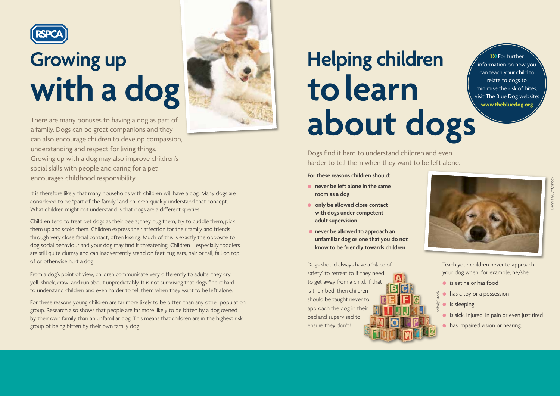

### **Growing up with a dog**



It is therefore likely that many households with children will have a dog. Many dogs are considered to be "part of the family" and children quickly understand that concept. What children might not understand is that dogs are a different species.

Children tend to treat pet dogs as their peers; they hug them, try to cuddle them, pick them up and scold them. Children express their affection for their family and friends through very close facial contact, often kissing. Much of this is exactly the opposite to dog social behaviour and your dog may find it threatening. Children – especially toddlers – are still quite clumsy and can inadvertently stand on feet, tug ears, hair or tail, fall on top of or otherwise hurt a dog.

From a dog's point of view, children communicate very differently to adults; they cry, yell, shriek, crawl and run about unpredictably. It is not surprising that dogs find it hard to understand children and even harder to tell them when they want to be left alone.

For these reasons young children are far more likely to be bitten than any other population group. Research also shows that people are far more likely to be bitten by a dog owned by their own family than an unfamiliar dog. This means that children are in the highest risk group of being bitten by their own family dog.

## **Helping children tolearn about dogs**

**>>>**For further information on how you can teach your child to relate to dogs to minimise the risk of bites, visit The Blue Dog website: **www.thebluedog.org**

Dogs find it hard to understand children and even harder to tell them when they want to be left alone.

#### **For these reasons children should:**

- **e** never be left alone in the same **room as a dog**
- **o** only be allowed close contact **with dogs under competent adult supervision**
- **•** never be allowed to approach an **unfamiliar dog or one that you do not know to be friendly towards children.**

Dogs should always have a 'place of safety' to retreat to if they need to get away from a child. If that is their bed, then children should be taught never to approach the dog in their bed and supervised to ensure they don't!



Teach your children never to approach your dog when, for example, he/she

- $\bullet$  is eating or has food
- $\frac{3}{2}$  **has a toy or a possession**
- $\bullet$  is sleeping scibak/istock
- $\bullet$  is sick, injured, in pain or even just tired
- $\bullet$  has impaired vision or hearing.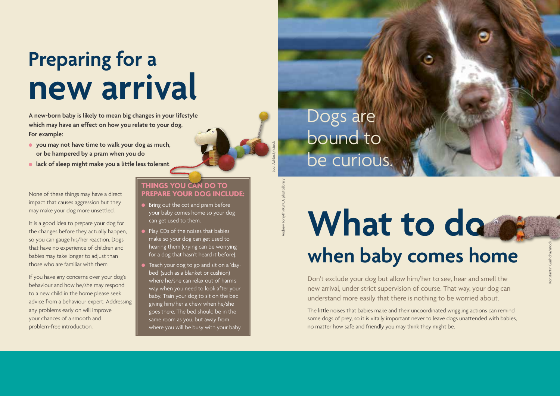### **Preparing for a new arrival**

**A new-born baby is likely to mean big changes in your lifestyle which may have an effect on how you relate to your dog. For example:**

- **e** you may not have time to walk your dog as much, **or be hampered by a pram when you do**
- **e** lack of sleep might make you a little less tolerant.



#### None of these things may have a direct impact that causes aggression but they may make your dog more unsettled.

It is a good idea to prepare your dog for the changes before they actually happen, so you can gauge his/her reaction. Dogs that have no experience of children and babies may take longer to adjust than those who are familiar with them.

If you have any concerns over your dog's behaviour and how he/she may respond to a new child in the home please seek advice from a behaviour expert. Addressing any problems early on will improve your chances of a smooth and problem-free introduction.

#### **THINGS YOU CAN DO TO PREPARE YOUR DOG INCLUDE:**

- l Bring out the cot and pram before your baby comes home so your dog can get used to them.
- l Play CDs of the noises that babies make so your dog can get used to hearing them (crying can be worrying for a dog that hasn't heard it before).
- l Teach your dog to go and sit on a 'daybed' (such as a blanket or cushion) where he/she can relax out of harm's way when you need to look after your baby. Train your dog to sit on the bed giving him/her a chew when he/she goes there. The bed should be in the same room as you, but away from where you will be busy with your baby.

## What to do **when baby comes home**

Dogs are

bound to

Andrew Forsyth/RSPCA photolibrary

Judi Ashlock/istock

be curious.

Don't exclude your dog but allow him/her to see, hear and smell the new arrival, under strict supervision of course. That way, your dog can understand more easily that there is nothing to be worried about.

The little noises that babies make and their uncoordinated wriggling actions can remind some dogs of prey, so it is vitally important never to leave dogs unattended with babies, no matter how safe and friendly you may think they might be.